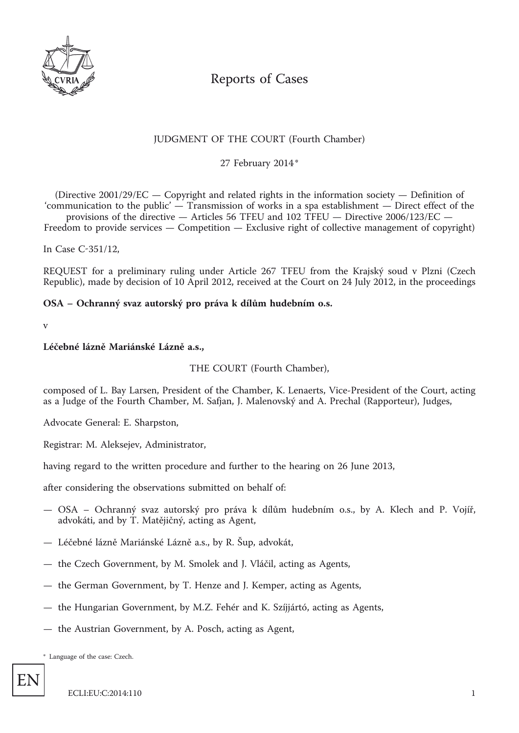

# Reports of Cases

# JUDGMENT OF THE COURT (Fourth Chamber)

\* 27 February 2014

(Directive 2001/29/EC — Copyright and related rights in the information society — Definition of 'communication to the public' — Transmission of works in a spa establishment — Direct effect of the

provisions of the directive — Articles 56 TFEU and 102 TFEU — Directive 2006/123/EC — Freedom to provide services — Competition — Exclusive right of collective management of copyright)

In Case C-351/12,

REQUEST for a preliminary ruling under Article 267 TFEU from the Krajský soud v Plzni (Czech Republic), made by decision of 10 April 2012, received at the Court on 24 July 2012, in the proceedings

# **OSA – Ochranný svaz autorský pro práva k dílům hudebním o.s.**

v

#### **Léčebné lázně Mariánské Lázně a.s.,**

# THE COURT (Fourth Chamber),

composed of L. Bay Larsen, President of the Chamber, K. Lenaerts, Vice-President of the Court, acting as a Judge of the Fourth Chamber, M. Safjan, J. Malenovský and A. Prechal (Rapporteur), Judges,

Advocate General: E. Sharpston,

Registrar: M. Aleksejev, Administrator,

having regard to the written procedure and further to the hearing on 26 June 2013,

after considering the observations submitted on behalf of:

- OSA Ochranný svaz autorský pro práva k dílům hudebním o.s., by A. Klech and P. Vojíř, advokáti, and by T. Matějičný, acting as Agent,
- Léčebné lázně Mariánské Lázně a.s., by R. Šup, advokát,
- the Czech Government, by M. Smolek and J. Vláčil, acting as Agents,
- the German Government, by T. Henze and J. Kemper, acting as Agents,
- the Hungarian Government, by M.Z. Fehér and K. Szíjjártó, acting as Agents,
- the Austrian Government, by A. Posch, acting as Agent,

\* Language of the case: Czech.

EN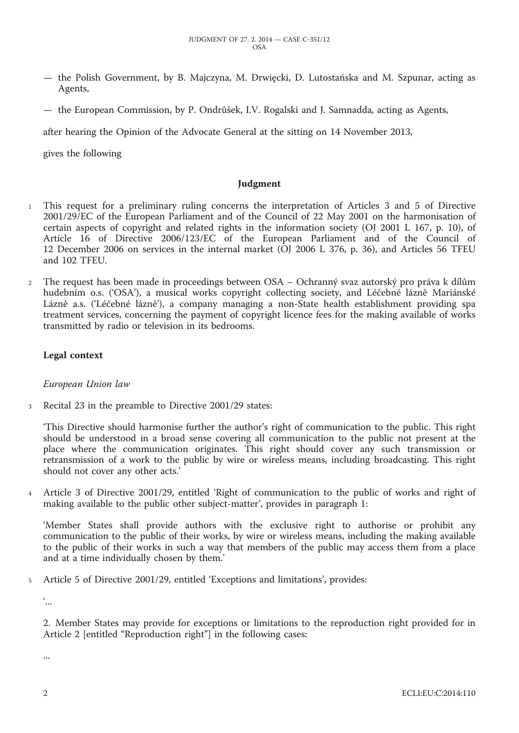- the Polish Government, by B. Majczyna, M. Drwięcki, D. Lutostańska and M. Szpunar, acting as Agents,
- the European Commission, by P. Ondrůšek, I.V. Rogalski and J. Samnadda, acting as Agents,

after hearing the Opinion of the Advocate General at the sitting on 14 November 2013,

gives the following

#### **Judgment**

- 1 This request for a preliminary ruling concerns the interpretation of Articles 3 and 5 of Directive 2001/29/EC of the European Parliament and of the Council of 22 May 2001 on the harmonisation of certain aspects of copyright and related rights in the information society (OJ 2001 L 167, p. 10), of Article 16 of Directive 2006/123/EC of the European Parliament and of the Council of 12 December 2006 on services in the internal market (OJ 2006 L 376, p. 36), and Articles 56 TFEU and 102 TFEU.
- 2 The request has been made in proceedings between OSA Ochranný svaz autorský pro práva k dílům hudebním o.s. ('OSA'), a musical works copyright collecting society, and Léčebné lázně Mariánské Lázně a.s. ('Léčebné lázně'), a company managing a non-State health establishment providing spa treatment services, concerning the payment of copyright licence fees for the making available of works transmitted by radio or television in its bedrooms.

#### **Legal context**

*European Union law*

3 Recital 23 in the preamble to Directive 2001/29 states:

'This Directive should harmonise further the author's right of communication to the public. This right should be understood in a broad sense covering all communication to the public not present at the place where the communication originates. This right should cover any such transmission or retransmission of a work to the public by wire or wireless means, including broadcasting. This right should not cover any other acts.'

4 Article 3 of Directive 2001/29, entitled 'Right of communication to the public of works and right of making available to the public other subject-matter', provides in paragraph 1:

'Member States shall provide authors with the exclusive right to authorise or prohibit any communication to the public of their works, by wire or wireless means, including the making available to the public of their works in such a way that members of the public may access them from a place and at a time individually chosen by them.'

5 Article 5 of Directive 2001/29, entitled 'Exceptions and limitations', provides:

 $\dddot{\ }$ ...

2. Member States may provide for exceptions or limitations to the reproduction right provided for in Article 2 [entitled "Reproduction right"] in the following cases:

...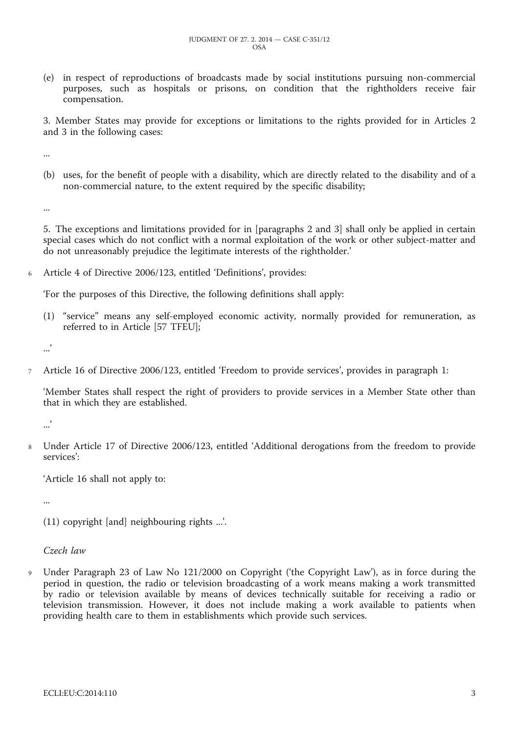(e) in respect of reproductions of broadcasts made by social institutions pursuing non-commercial purposes, such as hospitals or prisons, on condition that the rightholders receive fair compensation.

3. Member States may provide for exceptions or limitations to the rights provided for in Articles 2 and 3 in the following cases:

...

(b) uses, for the benefit of people with a disability, which are directly related to the disability and of a non-commercial nature, to the extent required by the specific disability;

...

5. The exceptions and limitations provided for in [paragraphs 2 and 3] shall only be applied in certain special cases which do not conflict with a normal exploitation of the work or other subject-matter and do not unreasonably prejudice the legitimate interests of the rightholder.'

Article 4 of Directive 2006/123, entitled 'Definitions', provides:

'For the purposes of this Directive, the following definitions shall apply:

(1) "service" means any self-employed economic activity, normally provided for remuneration, as referred to in Article [57 TFEU];

...'

7 Article 16 of Directive 2006/123, entitled 'Freedom to provide services', provides in paragraph 1:

'Member States shall respect the right of providers to provide services in a Member State other than that in which they are established.

.<br>...

8 Under Article 17 of Directive 2006/123, entitled 'Additional derogations from the freedom to provide services':

'Article 16 shall not apply to:

...

(11) copyright [and] neighbouring rights ...'.

*Czech law*

9 Under Paragraph 23 of Law No 121/2000 on Copyright ('the Copyright Law'), as in force during the period in question, the radio or television broadcasting of a work means making a work transmitted by radio or television available by means of devices technically suitable for receiving a radio or television transmission. However, it does not include making a work available to patients when providing health care to them in establishments which provide such services.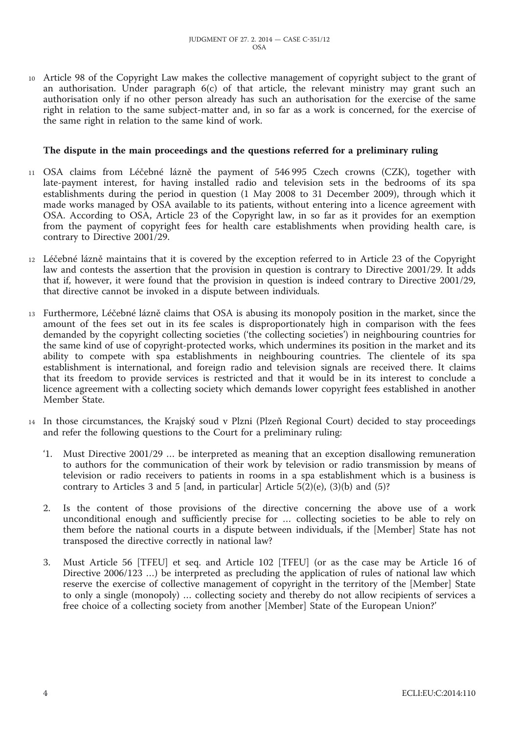10 Article 98 of the Copyright Law makes the collective management of copyright subject to the grant of an authorisation. Under paragraph 6(c) of that article, the relevant ministry may grant such an authorisation only if no other person already has such an authorisation for the exercise of the same right in relation to the same subject-matter and, in so far as a work is concerned, for the exercise of the same right in relation to the same kind of work.

#### **The dispute in the main proceedings and the questions referred for a preliminary ruling**

- 11 OSA claims from Léčebné lázně the payment of 546 995 Czech crowns (CZK), together with late-payment interest, for having installed radio and television sets in the bedrooms of its spa establishments during the period in question (1 May 2008 to 31 December 2009), through which it made works managed by OSA available to its patients, without entering into a licence agreement with OSA. According to OSA, Article 23 of the Copyright law, in so far as it provides for an exemption from the payment of copyright fees for health care establishments when providing health care, is contrary to Directive 2001/29.
- 12 Léčebné lázně maintains that it is covered by the exception referred to in Article 23 of the Copyright law and contests the assertion that the provision in question is contrary to Directive 2001/29. It adds that if, however, it were found that the provision in question is indeed contrary to Directive 2001/29, that directive cannot be invoked in a dispute between individuals.
- 13 Furthermore, Léčebné lázně claims that OSA is abusing its monopoly position in the market, since the amount of the fees set out in its fee scales is disproportionately high in comparison with the fees demanded by the copyright collecting societies ('the collecting societies') in neighbouring countries for the same kind of use of copyright-protected works, which undermines its position in the market and its ability to compete with spa establishments in neighbouring countries. The clientele of its spa establishment is international, and foreign radio and television signals are received there. It claims that its freedom to provide services is restricted and that it would be in its interest to conclude a licence agreement with a collecting society which demands lower copyright fees established in another Member State.
- 14 In those circumstances, the Krajský soud v Plzni (Plzeň Regional Court) decided to stay proceedings and refer the following questions to the Court for a preliminary ruling:
	- '1. Must Directive 2001/29 … be interpreted as meaning that an exception disallowing remuneration to authors for the communication of their work by television or radio transmission by means of television or radio receivers to patients in rooms in a spa establishment which is a business is contrary to Articles 3 and 5 [and, in particular] Article  $5(2)(e)$ ,  $(3)(b)$  and  $(5)$ ?
	- 2. Is the content of those provisions of the directive concerning the above use of a work unconditional enough and sufficiently precise for … collecting societies to be able to rely on them before the national courts in a dispute between individuals, if the [Member] State has not transposed the directive correctly in national law?
	- 3. Must Article 56 [TFEU] et seq. and Article 102 [TFEU] (or as the case may be Article 16 of Directive 2006/123 …) be interpreted as precluding the application of rules of national law which reserve the exercise of collective management of copyright in the territory of the [Member] State to only a single (monopoly) … collecting society and thereby do not allow recipients of services a free choice of a collecting society from another [Member] State of the European Union?'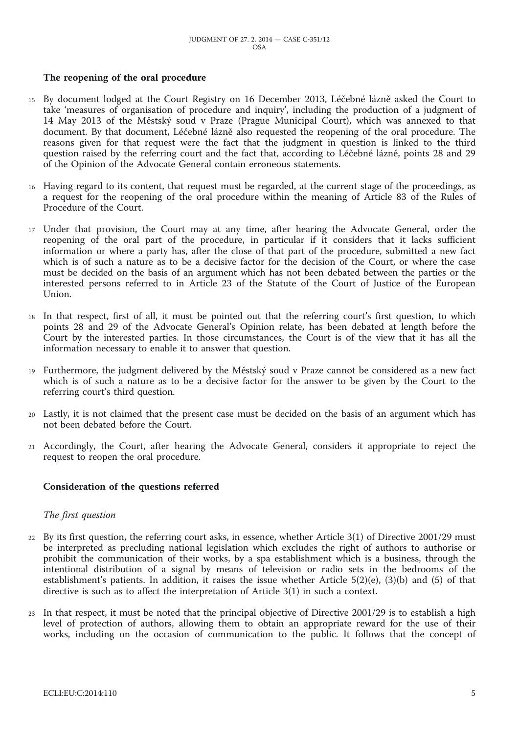#### **The reopening of the oral procedure**

- 15 By document lodged at the Court Registry on 16 December 2013, Léčebné lázně asked the Court to take 'measures of organisation of procedure and inquiry', including the production of a judgment of 14 May 2013 of the Městský soud v Praze (Prague Municipal Court), which was annexed to that document. By that document, Léčebné lázně also requested the reopening of the oral procedure. The reasons given for that request were the fact that the judgment in question is linked to the third question raised by the referring court and the fact that, according to Léčebné lázně, points 28 and 29 of the Opinion of the Advocate General contain erroneous statements.
- 16 Having regard to its content, that request must be regarded, at the current stage of the proceedings, as a request for the reopening of the oral procedure within the meaning of Article 83 of the Rules of Procedure of the Court.
- 17 Under that provision, the Court may at any time, after hearing the Advocate General, order the reopening of the oral part of the procedure, in particular if it considers that it lacks sufficient information or where a party has, after the close of that part of the procedure, submitted a new fact which is of such a nature as to be a decisive factor for the decision of the Court, or where the case must be decided on the basis of an argument which has not been debated between the parties or the interested persons referred to in Article 23 of the Statute of the Court of Justice of the European Union.
- 18 In that respect, first of all, it must be pointed out that the referring court's first question, to which points 28 and 29 of the Advocate General's Opinion relate, has been debated at length before the Court by the interested parties. In those circumstances, the Court is of the view that it has all the information necessary to enable it to answer that question.
- 19 Furthermore, the judgment delivered by the Městský soud v Praze cannot be considered as a new fact which is of such a nature as to be a decisive factor for the answer to be given by the Court to the referring court's third question.
- 20 Lastly, it is not claimed that the present case must be decided on the basis of an argument which has not been debated before the Court.
- 21 Accordingly, the Court, after hearing the Advocate General, considers it appropriate to reject the request to reopen the oral procedure.

#### **Consideration of the questions referred**

#### *The first question*

- 22 By its first question, the referring court asks, in essence, whether Article 3(1) of Directive 2001/29 must be interpreted as precluding national legislation which excludes the right of authors to authorise or prohibit the communication of their works, by a spa establishment which is a business, through the intentional distribution of a signal by means of television or radio sets in the bedrooms of the establishment's patients. In addition, it raises the issue whether Article 5(2)(e), (3)(b) and (5) of that directive is such as to affect the interpretation of Article 3(1) in such a context.
- 23 In that respect, it must be noted that the principal objective of Directive 2001/29 is to establish a high level of protection of authors, allowing them to obtain an appropriate reward for the use of their works, including on the occasion of communication to the public. It follows that the concept of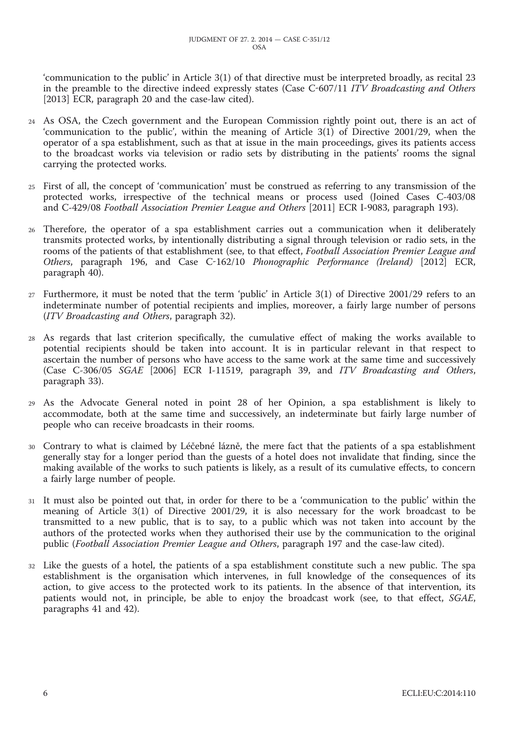'communication to the public' in Article 3(1) of that directive must be interpreted broadly, as recital 23 in the preamble to the directive indeed expressly states (Case C-607/11 *ITV Broadcasting and Others* [2013] ECR, paragraph 20 and the case-law cited).

- 24 As OSA, the Czech government and the European Commission rightly point out, there is an act of 'communication to the public', within the meaning of Article 3(1) of Directive 2001/29, when the operator of a spa establishment, such as that at issue in the main proceedings, gives its patients access to the broadcast works via television or radio sets by distributing in the patients' rooms the signal carrying the protected works.
- 25 First of all, the concept of 'communication' must be construed as referring to any transmission of the protected works, irrespective of the technical means or process used (Joined Cases C-403/08 and C-429/08 *Football Association Premier League and Others* [2011] ECR I-9083, paragraph 193).
- 26 Therefore, the operator of a spa establishment carries out a communication when it deliberately transmits protected works, by intentionally distributing a signal through television or radio sets, in the rooms of the patients of that establishment (see, to that effect, *Football Association Premier League and Others*, paragraph 196, and Case C-162/10 *Phonographic Performance (Ireland)* [2012] ECR, paragraph 40).
- 27 Furthermore, it must be noted that the term 'public' in Article 3(1) of Directive 2001/29 refers to an indeterminate number of potential recipients and implies, moreover, a fairly large number of persons (*ITV Broadcasting and Others*, paragraph 32).
- 28 As regards that last criterion specifically, the cumulative effect of making the works available to potential recipients should be taken into account. It is in particular relevant in that respect to ascertain the number of persons who have access to the same work at the same time and successively (Case C-306/05 *SGAE* [2006] ECR I-11519, paragraph 39, and *ITV Broadcasting and Others*, paragraph 33).
- 29 As the Advocate General noted in point 28 of her Opinion, a spa establishment is likely to accommodate, both at the same time and successively, an indeterminate but fairly large number of people who can receive broadcasts in their rooms.
- 30 Contrary to what is claimed by Léčebné lázně, the mere fact that the patients of a spa establishment generally stay for a longer period than the guests of a hotel does not invalidate that finding, since the making available of the works to such patients is likely, as a result of its cumulative effects, to concern a fairly large number of people.
- 31 It must also be pointed out that, in order for there to be a 'communication to the public' within the meaning of Article 3(1) of Directive 2001/29, it is also necessary for the work broadcast to be transmitted to a new public, that is to say, to a public which was not taken into account by the authors of the protected works when they authorised their use by the communication to the original public (*Football Association Premier League and Others*, paragraph 197 and the case-law cited).
- 32 Like the guests of a hotel, the patients of a spa establishment constitute such a new public. The spa establishment is the organisation which intervenes, in full knowledge of the consequences of its action, to give access to the protected work to its patients. In the absence of that intervention, its patients would not, in principle, be able to enjoy the broadcast work (see, to that effect, *SGAE*, paragraphs 41 and 42).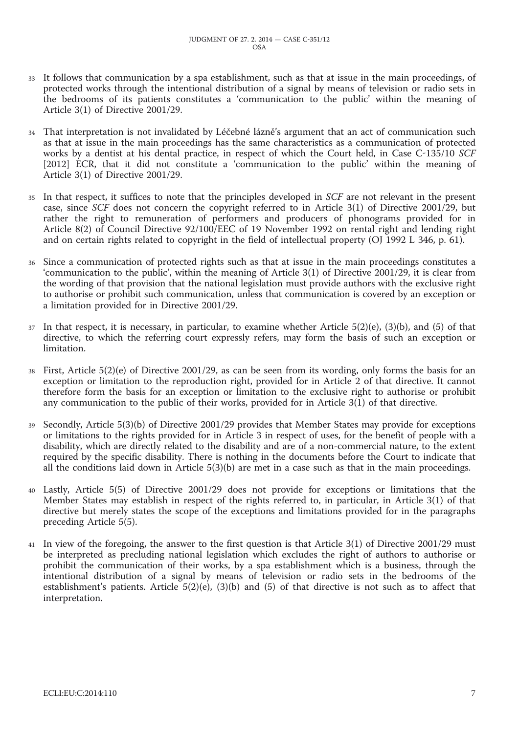- 33 It follows that communication by a spa establishment, such as that at issue in the main proceedings, of protected works through the intentional distribution of a signal by means of television or radio sets in the bedrooms of its patients constitutes a 'communication to the public' within the meaning of Article 3(1) of Directive 2001/29.
- 34 That interpretation is not invalidated by Léčebné lázně's argument that an act of communication such as that at issue in the main proceedings has the same characteristics as a communication of protected works by a dentist at his dental practice, in respect of which the Court held, in Case C-135/10 *SCF* [2012] ECR, that it did not constitute a 'communication to the public' within the meaning of Article 3(1) of Directive 2001/29.
- 35 In that respect, it suffices to note that the principles developed in *SCF* are not relevant in the present case, since *SCF* does not concern the copyright referred to in Article 3(1) of Directive 2001/29, but rather the right to remuneration of performers and producers of phonograms provided for in Article 8(2) of Council Directive 92/100/EEC of 19 November 1992 on rental right and lending right and on certain rights related to copyright in the field of intellectual property (OJ 1992 L 346, p. 61).
- 36 Since a communication of protected rights such as that at issue in the main proceedings constitutes a 'communication to the public', within the meaning of Article 3(1) of Directive 2001/29, it is clear from the wording of that provision that the national legislation must provide authors with the exclusive right to authorise or prohibit such communication, unless that communication is covered by an exception or a limitation provided for in Directive 2001/29.
- $37$  In that respect, it is necessary, in particular, to examine whether Article  $5(2)(e)$ ,  $(3)(b)$ , and  $(5)$  of that directive, to which the referring court expressly refers, may form the basis of such an exception or limitation.
- 38 First, Article 5(2)(e) of Directive 2001/29, as can be seen from its wording, only forms the basis for an exception or limitation to the reproduction right, provided for in Article 2 of that directive. It cannot therefore form the basis for an exception or limitation to the exclusive right to authorise or prohibit any communication to the public of their works, provided for in Article 3(1) of that directive.
- 39 Secondly, Article 5(3)(b) of Directive 2001/29 provides that Member States may provide for exceptions or limitations to the rights provided for in Article 3 in respect of uses, for the benefit of people with a disability, which are directly related to the disability and are of a non-commercial nature, to the extent required by the specific disability. There is nothing in the documents before the Court to indicate that all the conditions laid down in Article 5(3)(b) are met in a case such as that in the main proceedings.
- 40 Lastly, Article 5(5) of Directive 2001/29 does not provide for exceptions or limitations that the Member States may establish in respect of the rights referred to, in particular, in Article 3(1) of that directive but merely states the scope of the exceptions and limitations provided for in the paragraphs preceding Article 5(5).
- 41 In view of the foregoing, the answer to the first question is that Article 3(1) of Directive 2001/29 must be interpreted as precluding national legislation which excludes the right of authors to authorise or prohibit the communication of their works, by a spa establishment which is a business, through the intentional distribution of a signal by means of television or radio sets in the bedrooms of the establishment's patients. Article  $5(2)(e)$ ,  $(3)(b)$  and  $(5)$  of that directive is not such as to affect that interpretation.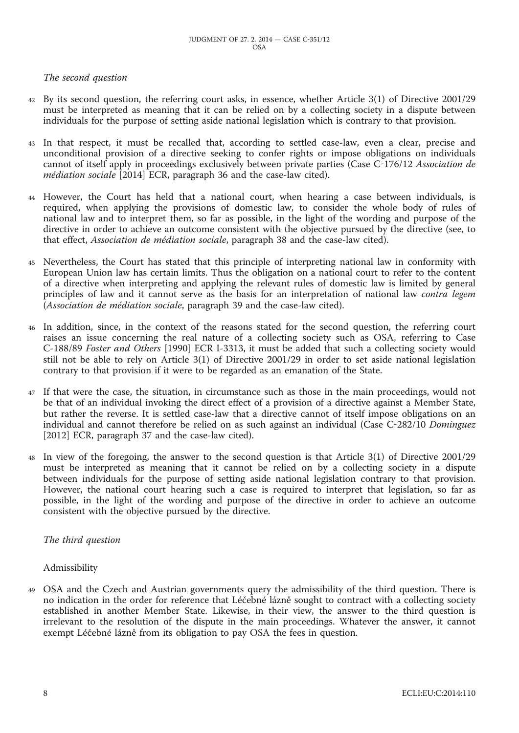### *The second question*

- 42 By its second question, the referring court asks, in essence, whether Article 3(1) of Directive 2001/29 must be interpreted as meaning that it can be relied on by a collecting society in a dispute between individuals for the purpose of setting aside national legislation which is contrary to that provision.
- 43 In that respect, it must be recalled that, according to settled case-law, even a clear, precise and unconditional provision of a directive seeking to confer rights or impose obligations on individuals cannot of itself apply in proceedings exclusively between private parties (Case C-176/12 *Association de médiation sociale* [2014] ECR, paragraph 36 and the case-law cited).
- 44 However, the Court has held that a national court, when hearing a case between individuals, is required, when applying the provisions of domestic law, to consider the whole body of rules of national law and to interpret them, so far as possible, in the light of the wording and purpose of the directive in order to achieve an outcome consistent with the objective pursued by the directive (see, to that effect, *Association de médiation sociale*, paragraph 38 and the case-law cited).
- 45 Nevertheless, the Court has stated that this principle of interpreting national law in conformity with European Union law has certain limits. Thus the obligation on a national court to refer to the content of a directive when interpreting and applying the relevant rules of domestic law is limited by general principles of law and it cannot serve as the basis for an interpretation of national law *contra legem* (*Association de médiation sociale*, paragraph 39 and the case-law cited).
- 46 In addition, since, in the context of the reasons stated for the second question, the referring court raises an issue concerning the real nature of a collecting society such as OSA, referring to Case C-188/89 *Foster and Others* [1990] ECR I-3313, it must be added that such a collecting society would still not be able to rely on Article 3(1) of Directive 2001/29 in order to set aside national legislation contrary to that provision if it were to be regarded as an emanation of the State.
- 47 If that were the case, the situation, in circumstance such as those in the main proceedings, would not be that of an individual invoking the direct effect of a provision of a directive against a Member State, but rather the reverse. It is settled case-law that a directive cannot of itself impose obligations on an individual and cannot therefore be relied on as such against an individual (Case C-282/10 *Dominguez* [2012] ECR, paragraph 37 and the case-law cited).
- 48 In view of the foregoing, the answer to the second question is that Article 3(1) of Directive 2001/29 must be interpreted as meaning that it cannot be relied on by a collecting society in a dispute between individuals for the purpose of setting aside national legislation contrary to that provision. However, the national court hearing such a case is required to interpret that legislation, so far as possible, in the light of the wording and purpose of the directive in order to achieve an outcome consistent with the objective pursued by the directive.

#### *The third question*

#### Admissibility

49 OSA and the Czech and Austrian governments query the admissibility of the third question. There is no indication in the order for reference that Léčebné lázně sought to contract with a collecting society established in another Member State. Likewise, in their view, the answer to the third question is irrelevant to the resolution of the dispute in the main proceedings. Whatever the answer, it cannot exempt Léčebné lázně from its obligation to pay OSA the fees in question.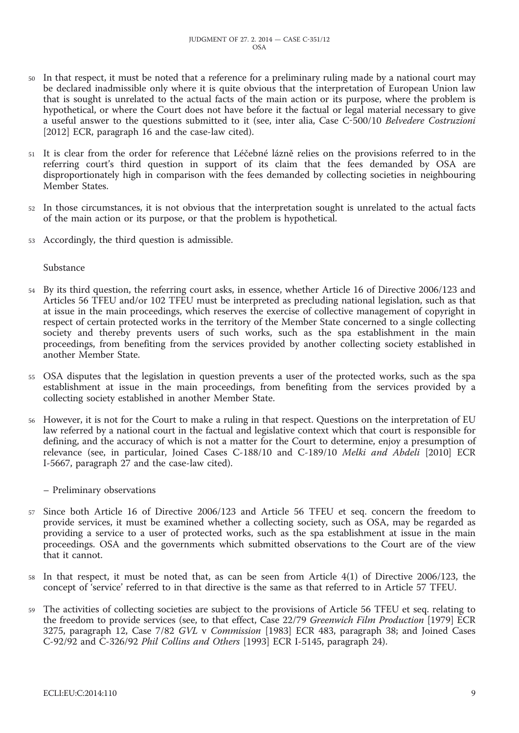- 50 In that respect, it must be noted that a reference for a preliminary ruling made by a national court may be declared inadmissible only where it is quite obvious that the interpretation of European Union law that is sought is unrelated to the actual facts of the main action or its purpose, where the problem is hypothetical, or where the Court does not have before it the factual or legal material necessary to give a useful answer to the questions submitted to it (see, inter alia, Case C-500/10 *Belvedere Costruzioni* [2012] ECR, paragraph 16 and the case-law cited).
- 51 It is clear from the order for reference that Léčebné lázně relies on the provisions referred to in the referring court's third question in support of its claim that the fees demanded by OSA are disproportionately high in comparison with the fees demanded by collecting societies in neighbouring Member States.
- 52 In those circumstances, it is not obvious that the interpretation sought is unrelated to the actual facts of the main action or its purpose, or that the problem is hypothetical.
- 53 Accordingly, the third question is admissible.

Substance

- 54 By its third question, the referring court asks, in essence, whether Article 16 of Directive 2006/123 and Articles 56 TFEU and/or 102 TFEU must be interpreted as precluding national legislation, such as that at issue in the main proceedings, which reserves the exercise of collective management of copyright in respect of certain protected works in the territory of the Member State concerned to a single collecting society and thereby prevents users of such works, such as the spa establishment in the main proceedings, from benefiting from the services provided by another collecting society established in another Member State.
- 55 OSA disputes that the legislation in question prevents a user of the protected works, such as the spa establishment at issue in the main proceedings, from benefiting from the services provided by a collecting society established in another Member State.
- 56 However, it is not for the Court to make a ruling in that respect. Questions on the interpretation of EU law referred by a national court in the factual and legislative context which that court is responsible for defining, and the accuracy of which is not a matter for the Court to determine, enjoy a presumption of relevance (see, in particular, Joined Cases C-188/10 and C-189/10 *Melki and Abdeli* [2010] ECR I-5667, paragraph 27 and the case-law cited).
	- Preliminary observations
- 57 Since both Article 16 of Directive 2006/123 and Article 56 TFEU et seq. concern the freedom to provide services, it must be examined whether a collecting society, such as OSA, may be regarded as providing a service to a user of protected works, such as the spa establishment at issue in the main proceedings. OSA and the governments which submitted observations to the Court are of the view that it cannot.
- 58 In that respect, it must be noted that, as can be seen from Article 4(1) of Directive 2006/123, the concept of 'service' referred to in that directive is the same as that referred to in Article 57 TFEU.
- 59 The activities of collecting societies are subject to the provisions of Article 56 TFEU et seq. relating to the freedom to provide services (see, to that effect, Case 22/79 *Greenwich Film Production* [1979] ECR 3275, paragraph 12, Case 7/82 *GVL* v *Commission* [1983] ECR 483, paragraph 38; and Joined Cases C-92/92 and C-326/92 *Phil Collins and Others* [1993] ECR I-5145, paragraph 24).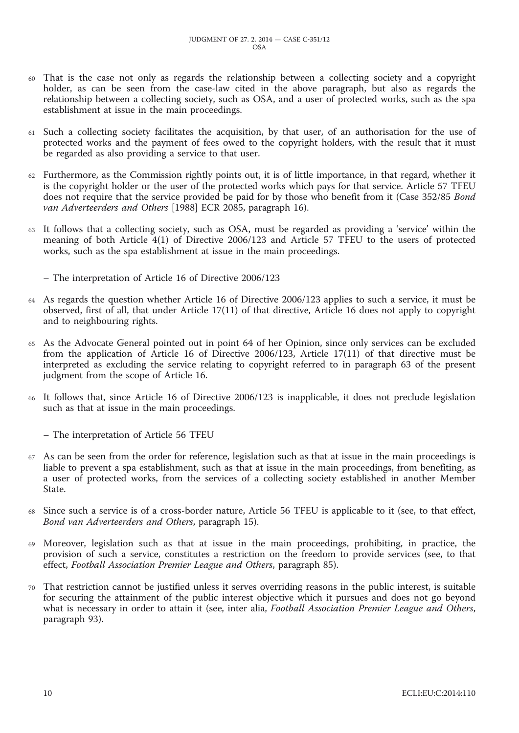- 60 That is the case not only as regards the relationship between a collecting society and a copyright holder, as can be seen from the case-law cited in the above paragraph, but also as regards the relationship between a collecting society, such as OSA, and a user of protected works, such as the spa establishment at issue in the main proceedings.
- 61 Such a collecting society facilitates the acquisition, by that user, of an authorisation for the use of protected works and the payment of fees owed to the copyright holders, with the result that it must be regarded as also providing a service to that user.
- 62 Furthermore, as the Commission rightly points out, it is of little importance, in that regard, whether it is the copyright holder or the user of the protected works which pays for that service. Article 57 TFEU does not require that the service provided be paid for by those who benefit from it (Case 352/85 *Bond van Adverteerders and Others* [1988] ECR 2085, paragraph 16).
- 63 It follows that a collecting society, such as OSA, must be regarded as providing a 'service' within the meaning of both Article 4(1) of Directive 2006/123 and Article 57 TFEU to the users of protected works, such as the spa establishment at issue in the main proceedings.

– The interpretation of Article 16 of Directive 2006/123

- 64 As regards the question whether Article 16 of Directive 2006/123 applies to such a service, it must be observed, first of all, that under Article 17(11) of that directive, Article 16 does not apply to copyright and to neighbouring rights.
- 65 As the Advocate General pointed out in point 64 of her Opinion, since only services can be excluded from the application of Article 16 of Directive 2006/123, Article 17(11) of that directive must be interpreted as excluding the service relating to copyright referred to in paragraph 63 of the present judgment from the scope of Article 16.
- 66 It follows that, since Article 16 of Directive 2006/123 is inapplicable, it does not preclude legislation such as that at issue in the main proceedings.

– The interpretation of Article 56 TFEU

- 67 As can be seen from the order for reference, legislation such as that at issue in the main proceedings is liable to prevent a spa establishment, such as that at issue in the main proceedings, from benefiting, as a user of protected works, from the services of a collecting society established in another Member State.
- Since such a service is of a cross-border nature, Article 56 TFEU is applicable to it (see, to that effect, *Bond van Adverteerders and Others*, paragraph 15).
- 69 Moreover, legislation such as that at issue in the main proceedings, prohibiting, in practice, the provision of such a service, constitutes a restriction on the freedom to provide services (see, to that effect, *Football Association Premier League and Others*, paragraph 85).
- 70 That restriction cannot be justified unless it serves overriding reasons in the public interest, is suitable for securing the attainment of the public interest objective which it pursues and does not go beyond what is necessary in order to attain it (see, inter alia, *Football Association Premier League and Others*, paragraph 93).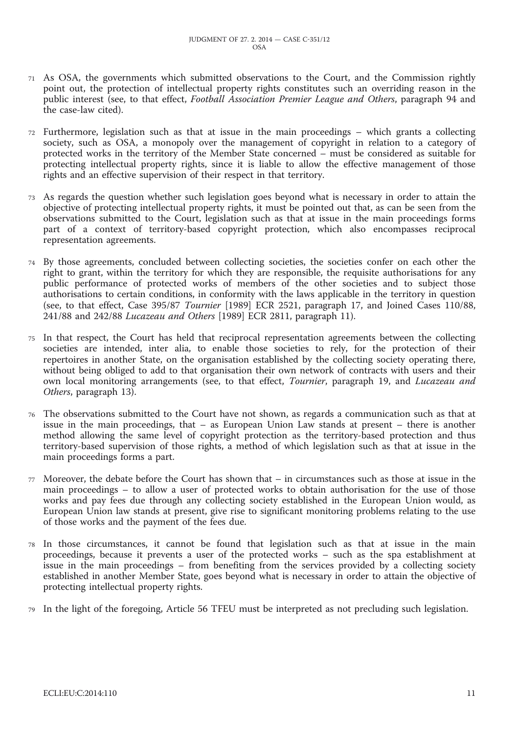- 71 As OSA, the governments which submitted observations to the Court, and the Commission rightly point out, the protection of intellectual property rights constitutes such an overriding reason in the public interest (see, to that effect, *Football Association Premier League and Others*, paragraph 94 and the case-law cited).
- 72 Furthermore, legislation such as that at issue in the main proceedings which grants a collecting society, such as OSA, a monopoly over the management of copyright in relation to a category of protected works in the territory of the Member State concerned – must be considered as suitable for protecting intellectual property rights, since it is liable to allow the effective management of those rights and an effective supervision of their respect in that territory.
- 73 As regards the question whether such legislation goes beyond what is necessary in order to attain the objective of protecting intellectual property rights, it must be pointed out that, as can be seen from the observations submitted to the Court, legislation such as that at issue in the main proceedings forms part of a context of territory-based copyright protection, which also encompasses reciprocal representation agreements.
- 74 By those agreements, concluded between collecting societies, the societies confer on each other the right to grant, within the territory for which they are responsible, the requisite authorisations for any public performance of protected works of members of the other societies and to subject those authorisations to certain conditions, in conformity with the laws applicable in the territory in question (see, to that effect, Case 395/87 *Tournier* [1989] ECR 2521, paragraph 17, and Joined Cases 110/88, 241/88 and 242/88 *Lucazeau and Others* [1989] ECR 2811, paragraph 11).
- 75 In that respect, the Court has held that reciprocal representation agreements between the collecting societies are intended, inter alia, to enable those societies to rely, for the protection of their repertoires in another State, on the organisation established by the collecting society operating there, without being obliged to add to that organisation their own network of contracts with users and their own local monitoring arrangements (see, to that effect, *Tournier*, paragraph 19, and *Lucazeau and Others*, paragraph 13).
- 76 The observations submitted to the Court have not shown, as regards a communication such as that at issue in the main proceedings, that – as European Union Law stands at present – there is another method allowing the same level of copyright protection as the territory-based protection and thus territory-based supervision of those rights, a method of which legislation such as that at issue in the main proceedings forms a part.
- 77 Moreover, the debate before the Court has shown that in circumstances such as those at issue in the main proceedings – to allow a user of protected works to obtain authorisation for the use of those works and pay fees due through any collecting society established in the European Union would, as European Union law stands at present, give rise to significant monitoring problems relating to the use of those works and the payment of the fees due.
- 78 In those circumstances, it cannot be found that legislation such as that at issue in the main proceedings, because it prevents a user of the protected works – such as the spa establishment at issue in the main proceedings – from benefiting from the services provided by a collecting society established in another Member State, goes beyond what is necessary in order to attain the objective of protecting intellectual property rights.
- 79 In the light of the foregoing, Article 56 TFEU must be interpreted as not precluding such legislation.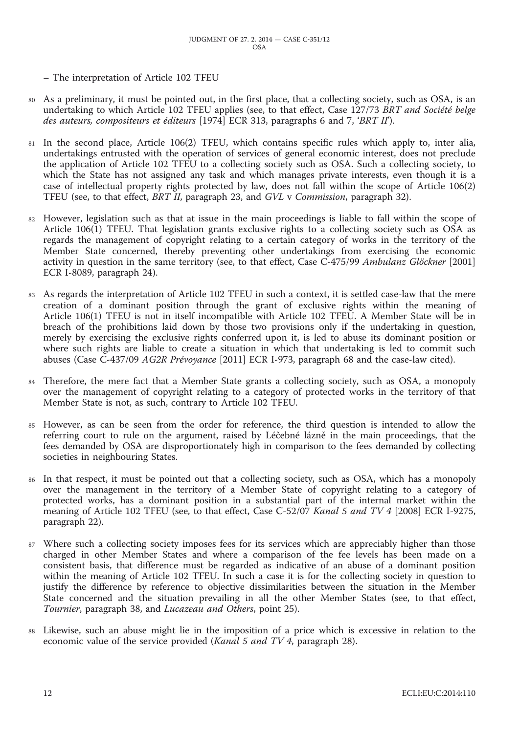– The interpretation of Article 102 TFEU

- As a preliminary, it must be pointed out, in the first place, that a collecting society, such as OSA, is an undertaking to which Article 102 TFEU applies (see, to that effect, Case 127/73 *BRT and Société belge des auteurs, compositeurs et éditeurs* [1974] ECR 313, paragraphs 6 and 7, '*BRT II*').
- 81 In the second place, Article 106(2) TFEU, which contains specific rules which apply to, inter alia, undertakings entrusted with the operation of services of general economic interest, does not preclude the application of Article 102 TFEU to a collecting society such as OSA. Such a collecting society, to which the State has not assigned any task and which manages private interests, even though it is a case of intellectual property rights protected by law, does not fall within the scope of Article 106(2) TFEU (see, to that effect, *BRT II*, paragraph 23, and *GVL* v *Commission*, paragraph 32).
- 82 However, legislation such as that at issue in the main proceedings is liable to fall within the scope of Article 106(1) TFEU. That legislation grants exclusive rights to a collecting society such as OSA as regards the management of copyright relating to a certain category of works in the territory of the Member State concerned, thereby preventing other undertakings from exercising the economic activity in question in the same territory (see, to that effect, Case C-475/99 *Ambulanz Glöckner* [2001] ECR I-8089, paragraph 24).
- 83 As regards the interpretation of Article 102 TFEU in such a context, it is settled case-law that the mere creation of a dominant position through the grant of exclusive rights within the meaning of Article 106(1) TFEU is not in itself incompatible with Article 102 TFEU. A Member State will be in breach of the prohibitions laid down by those two provisions only if the undertaking in question, merely by exercising the exclusive rights conferred upon it, is led to abuse its dominant position or where such rights are liable to create a situation in which that undertaking is led to commit such abuses (Case C-437/09 *AG2R Prévoyance* [2011] ECR I-973, paragraph 68 and the case-law cited).
- 84 Therefore, the mere fact that a Member State grants a collecting society, such as OSA, a monopoly over the management of copyright relating to a category of protected works in the territory of that Member State is not, as such, contrary to Article 102 TFEU.
- 85 However, as can be seen from the order for reference, the third question is intended to allow the referring court to rule on the argument, raised by Léčebné lázně in the main proceedings, that the fees demanded by OSA are disproportionately high in comparison to the fees demanded by collecting societies in neighbouring States.
- 86 In that respect, it must be pointed out that a collecting society, such as OSA, which has a monopoly over the management in the territory of a Member State of copyright relating to a category of protected works, has a dominant position in a substantial part of the internal market within the meaning of Article 102 TFEU (see, to that effect, Case C-52/07 *Kanal 5 and TV 4* [2008] ECR I-9275, paragraph 22).
- Where such a collecting society imposes fees for its services which are appreciably higher than those charged in other Member States and where a comparison of the fee levels has been made on a consistent basis, that difference must be regarded as indicative of an abuse of a dominant position within the meaning of Article 102 TFEU. In such a case it is for the collecting society in question to justify the difference by reference to objective dissimilarities between the situation in the Member State concerned and the situation prevailing in all the other Member States (see, to that effect, *Tournier*, paragraph 38, and *Lucazeau and Others*, point 25).
- 88 Likewise, such an abuse might lie in the imposition of a price which is excessive in relation to the economic value of the service provided (*Kanal 5 and TV 4*, paragraph 28).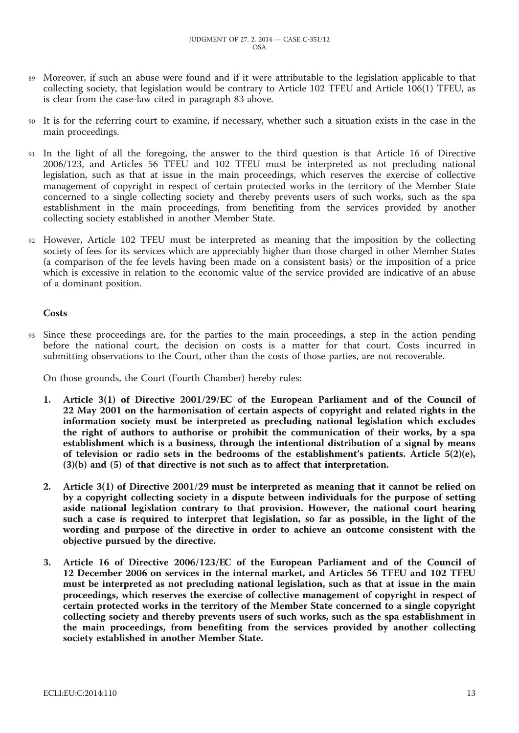- 89 Moreover, if such an abuse were found and if it were attributable to the legislation applicable to that collecting society, that legislation would be contrary to Article 102 TFEU and Article 106(1) TFEU, as is clear from the case-law cited in paragraph 83 above.
- 90 It is for the referring court to examine, if necessary, whether such a situation exists in the case in the main proceedings.
- 91 In the light of all the foregoing, the answer to the third question is that Article 16 of Directive 2006/123, and Articles 56 TFEU and 102 TFEU must be interpreted as not precluding national legislation, such as that at issue in the main proceedings, which reserves the exercise of collective management of copyright in respect of certain protected works in the territory of the Member State concerned to a single collecting society and thereby prevents users of such works, such as the spa establishment in the main proceedings, from benefiting from the services provided by another collecting society established in another Member State.
- 92 However, Article 102 TFEU must be interpreted as meaning that the imposition by the collecting society of fees for its services which are appreciably higher than those charged in other Member States (a comparison of the fee levels having been made on a consistent basis) or the imposition of a price which is excessive in relation to the economic value of the service provided are indicative of an abuse of a dominant position.

#### **Costs**

Since these proceedings are, for the parties to the main proceedings, a step in the action pending before the national court, the decision on costs is a matter for that court. Costs incurred in submitting observations to the Court, other than the costs of those parties, are not recoverable.

On those grounds, the Court (Fourth Chamber) hereby rules:

- **1. Article 3(1) of Directive 2001/29/EC of the European Parliament and of the Council of 22 May 2001 on the harmonisation of certain aspects of copyright and related rights in the information society must be interpreted as precluding national legislation which excludes the right of authors to authorise or prohibit the communication of their works, by a spa establishment which is a business, through the intentional distribution of a signal by means of television or radio sets in the bedrooms of the establishment's patients. Article 5(2)(e), (3)(b) and (5) of that directive is not such as to affect that interpretation.**
- **2. Article 3(1) of Directive 2001/29 must be interpreted as meaning that it cannot be relied on by a copyright collecting society in a dispute between individuals for the purpose of setting aside national legislation contrary to that provision. However, the national court hearing such a case is required to interpret that legislation, so far as possible, in the light of the wording and purpose of the directive in order to achieve an outcome consistent with the objective pursued by the directive.**
- **3. Article 16 of Directive 2006/123/EC of the European Parliament and of the Council of 12 December 2006 on services in the internal market, and Articles 56 TFEU and 102 TFEU must be interpreted as not precluding national legislation, such as that at issue in the main proceedings, which reserves the exercise of collective management of copyright in respect of certain protected works in the territory of the Member State concerned to a single copyright collecting society and thereby prevents users of such works, such as the spa establishment in the main proceedings, from benefiting from the services provided by another collecting society established in another Member State.**